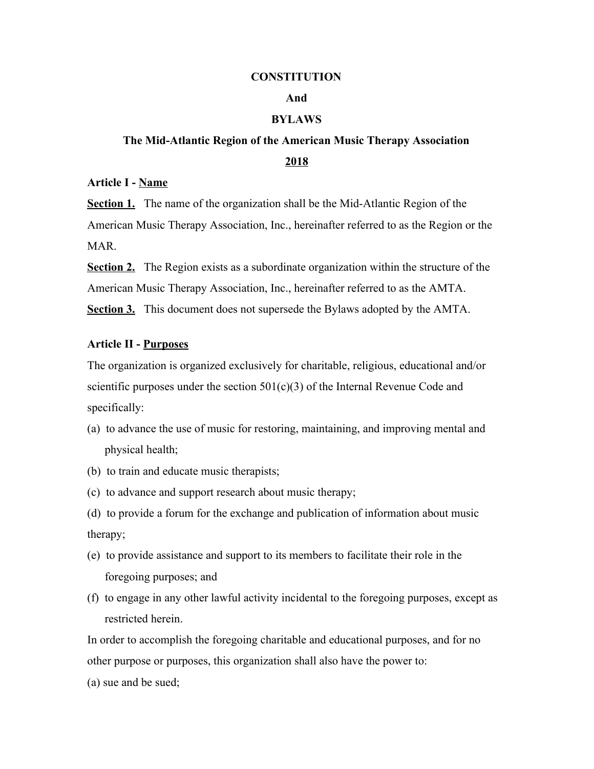#### **CONSTITUTION**

# **And**

# **BYLAWS**

# **The Mid-Atlantic Region of the American Music Therapy Association 2018**

# **Article I - Name**

**Section 1.** The name of the organization shall be the Mid-Atlantic Region of the American Music Therapy Association, Inc., hereinafter referred to as the Region or the MAR.

**Section 2.** The Region exists as a subordinate organization within the structure of the American Music Therapy Association, Inc., hereinafter referred to as the AMTA. **Section 3.** This document does not supersede the Bylaws adopted by the AMTA.

## **Article II - Purposes**

The organization is organized exclusively for charitable, religious, educational and/or scientific purposes under the section  $501(c)(3)$  of the Internal Revenue Code and specifically:

- (a) to advance the use of music for restoring, maintaining, and improving mental and physical health;
- (b) to train and educate music therapists;
- (c) to advance and support research about music therapy;

(d) to provide a forum for the exchange and publication of information about music therapy;

- (e) to provide assistance and support to its members to facilitate their role in the foregoing purposes; and
- (f) to engage in any other lawful activity incidental to the foregoing purposes, except as restricted herein.

In order to accomplish the foregoing charitable and educational purposes, and for no other purpose or purposes, this organization shall also have the power to:

(a) sue and be sued;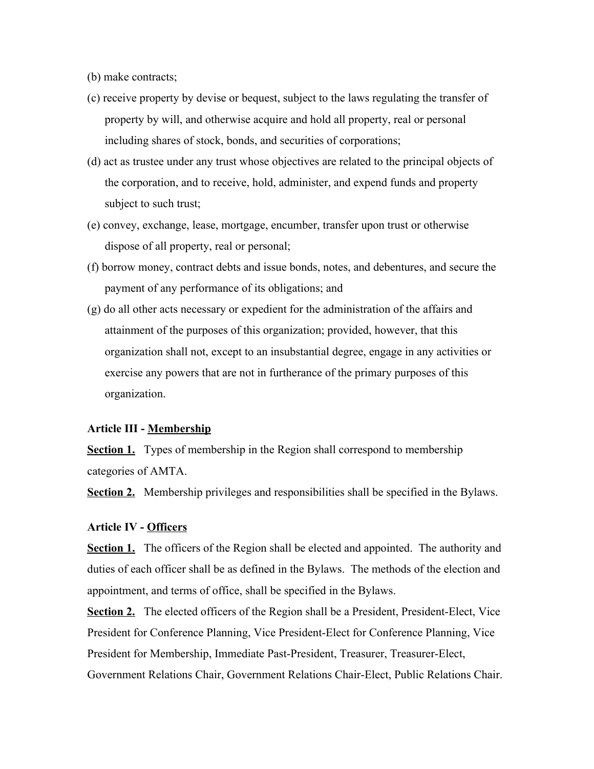(b) make contracts;

- (c) receive property by devise or bequest, subject to the laws regulating the transfer of property by will, and otherwise acquire and hold all property, real or personal including shares of stock, bonds, and securities of corporations;
- (d) act as trustee under any trust whose objectives are related to the principal objects of the corporation, and to receive, hold, administer, and expend funds and property subject to such trust;
- (e) convey, exchange, lease, mortgage, encumber, transfer upon trust or otherwise dispose of all property, real or personal;
- (f) borrow money, contract debts and issue bonds, notes, and debentures, and secure the payment of any performance of its obligations; and
- (g) do all other acts necessary or expedient for the administration of the affairs and attainment of the purposes of this organization; provided, however, that this organization shall not, except to an insubstantial degree, engage in any activities or exercise any powers that are not in furtherance of the primary purposes of this organization.

#### **Article III - Membership**

**Section 1.** Types of membership in the Region shall correspond to membership categories of AMTA.

**<u>Section 2.</u>** Membership privileges and responsibilities shall be specified in the Bylaws.

### **Article IV - Officers**

**<u>Section 1.</u>** The officers of the Region shall be elected and appointed. The authority and duties of each officer shall be as defined in the Bylaws. The methods of the election and appointment, and terms of office, shall be specified in the Bylaws.

**Section 2.** The elected officers of the Region shall be a President, President-Elect, Vice President for Conference Planning, Vice President-Elect for Conference Planning, Vice President for Membership, Immediate Past-President, Treasurer, Treasurer-Elect, Government Relations Chair, Government Relations Chair-Elect, Public Relations Chair.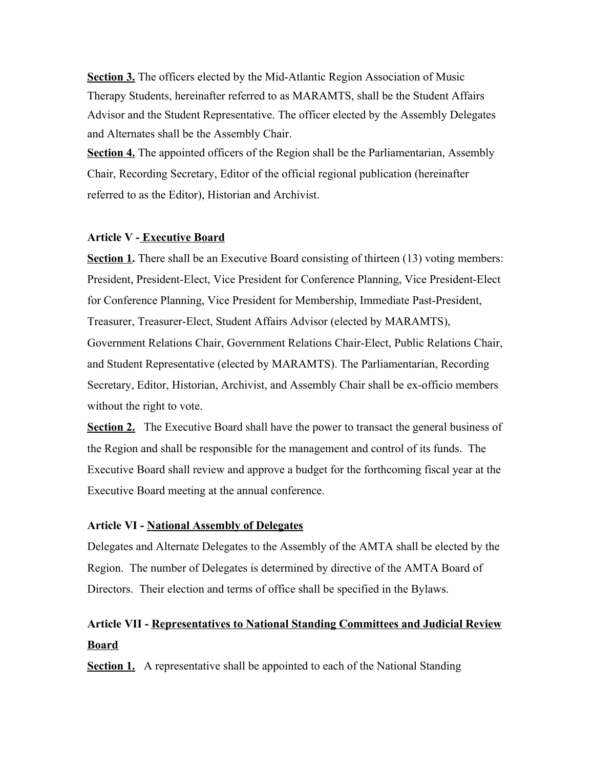**Section 3.** The officers elected by the Mid-Atlantic Region Association of Music Therapy Students, hereinafter referred to as MARAMTS, shall be the Student Affairs Advisor and the Student Representative. The officer elected by the Assembly Delegates and Alternates shall be the Assembly Chair.

**Section 4.** The appointed officers of the Region shall be the Parliamentarian, Assembly Chair, Recording Secretary, Editor of the official regional publication (hereinafter referred to as the Editor), Historian and Archivist.

# **Article V - Executive Board**

**Section 1.** There shall be an Executive Board consisting of thirteen (13) voting members: President, President-Elect, Vice President for Conference Planning, Vice President-Elect for Conference Planning, Vice President for Membership, Immediate Past-President, Treasurer, Treasurer-Elect, Student Affairs Advisor (elected by MARAMTS), Government Relations Chair, Government Relations Chair-Elect, Public Relations Chair, and Student Representative (elected by MARAMTS). The Parliamentarian, Recording Secretary, Editor, Historian, Archivist, and Assembly Chair shall be ex-officio members without the right to vote.

**Section 2.** The Executive Board shall have the power to transact the general business of the Region and shall be responsible for the management and control of its funds. The Executive Board shall review and approve a budget for the forthcoming fiscal year at the Executive Board meeting at the annual conference.

# **Article VI - National Assembly of Delegates**

Delegates and Alternate Delegates to the Assembly of the AMTA shall be elected by the Region. The number of Delegates is determined by directive of the AMTA Board of Directors. Their election and terms of office shall be specified in the Bylaws.

# **Article VII - Representatives to National Standing Committees and Judicial Review Board**

**Section 1.** A representative shall be appointed to each of the National Standing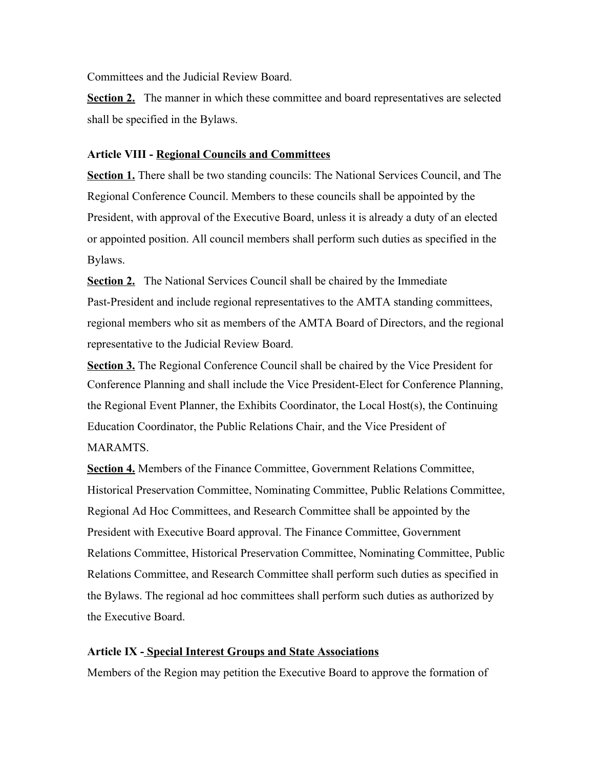Committees and the Judicial Review Board.

**Section 2.** The manner in which these committee and board representatives are selected shall be specified in the Bylaws.

# **Article VIII - Regional Councils and Committees**

**Section 1.** There shall be two standing councils: The National Services Council, and The Regional Conference Council. Members to these councils shall be appointed by the President, with approval of the Executive Board, unless it is already a duty of an elected or appointed position. All council members shall perform such duties as specified in the Bylaws.

**<u>Section 2.</u>** The National Services Council shall be chaired by the Immediate Past-President and include regional representatives to the AMTA standing committees, regional members who sit as members of the AMTA Board of Directors, and the regional representative to the Judicial Review Board.

**Section 3.** The Regional Conference Council shall be chaired by the Vice President for Conference Planning and shall include the Vice President-Elect for Conference Planning, the Regional Event Planner, the Exhibits Coordinator, the Local Host(s), the Continuing Education Coordinator, the Public Relations Chair, and the Vice President of MARAMTS.

**Section 4.** Members of the Finance Committee, Government Relations Committee, Historical Preservation Committee, Nominating Committee, Public Relations Committee, Regional Ad Hoc Committees, and Research Committee shall be appointed by the President with Executive Board approval. The Finance Committee, Government Relations Committee, Historical Preservation Committee, Nominating Committee, Public Relations Committee, and Research Committee shall perform such duties as specified in the Bylaws. The regional ad hoc committees shall perform such duties as authorized by the Executive Board.

# **Article IX - Special Interest Groups and State Associations**

Members of the Region may petition the Executive Board to approve the formation of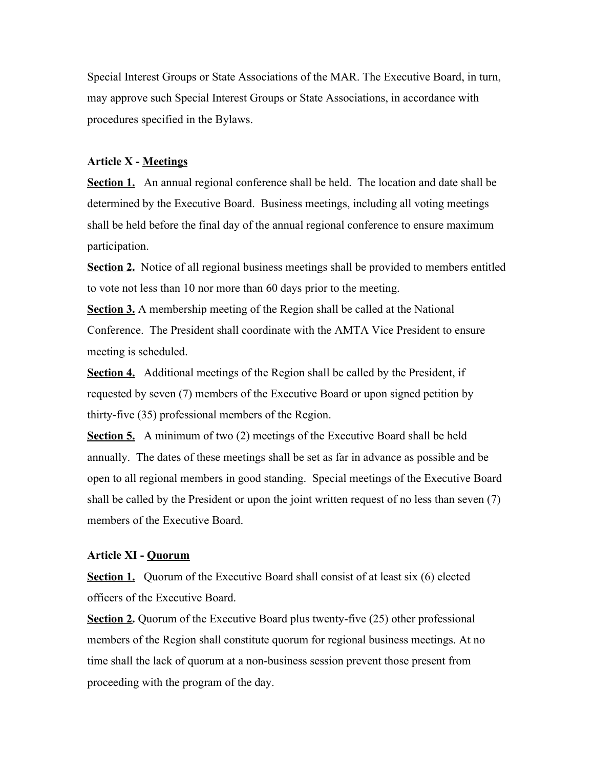Special Interest Groups or State Associations of the MAR. The Executive Board, in turn, may approve such Special Interest Groups or State Associations, in accordance with procedures specified in the Bylaws.

#### **Article X - Meetings**

**Section 1.** An annual regional conference shall be held. The location and date shall be determined by the Executive Board. Business meetings, including all voting meetings shall be held before the final day of the annual regional conference to ensure maximum participation.

**Section 2.** Notice of all regional business meetings shall be provided to members entitled to vote not less than 10 nor more than 60 days prior to the meeting.

**Section 3.** A membership meeting of the Region shall be called at the National Conference. The President shall coordinate with the AMTA Vice President to ensure meeting is scheduled.

**Section 4.** Additional meetings of the Region shall be called by the President, if requested by seven (7) members of the Executive Board or upon signed petition by thirty-five (35) professional members of the Region.

**Section 5.** A minimum of two (2) meetings of the Executive Board shall be held annually. The dates of these meetings shall be set as far in advance as possible and be open to all regional members in good standing. Special meetings of the Executive Board shall be called by the President or upon the joint written request of no less than seven (7) members of the Executive Board.

## **Article XI - Quorum**

**Section 1.** Quorum of the Executive Board shall consist of at least six (6) elected officers of the Executive Board.

**<u>Section 2</u>**. Quorum of the Executive Board plus twenty-five (25) other professional members of the Region shall constitute quorum for regional business meetings. At no time shall the lack of quorum at a non-business session prevent those present from proceeding with the program of the day.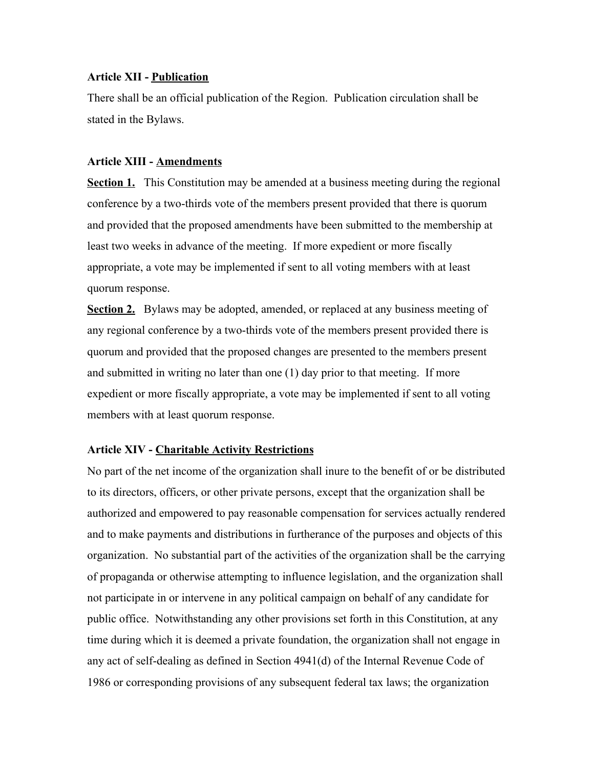# **Article XII - Publication**

There shall be an official publication of the Region. Publication circulation shall be stated in the Bylaws.

# **Article XIII - Amendments**

**Section 1.** This Constitution may be amended at a business meeting during the regional conference by a two-thirds vote of the members present provided that there is quorum and provided that the proposed amendments have been submitted to the membership at least two weeks in advance of the meeting. If more expedient or more fiscally appropriate, a vote may be implemented if sent to all voting members with at least quorum response.

**Section 2.** Bylaws may be adopted, amended, or replaced at any business meeting of any regional conference by a two-thirds vote of the members present provided there is quorum and provided that the proposed changes are presented to the members present and submitted in writing no later than one (1) day prior to that meeting. If more expedient or more fiscally appropriate, a vote may be implemented if sent to all voting members with at least quorum response.

# **Article XIV - Charitable Activity Restrictions**

No part of the net income of the organization shall inure to the benefit of or be distributed to its directors, officers, or other private persons, except that the organization shall be authorized and empowered to pay reasonable compensation for services actually rendered and to make payments and distributions in furtherance of the purposes and objects of this organization. No substantial part of the activities of the organization shall be the carrying of propaganda or otherwise attempting to influence legislation, and the organization shall not participate in or intervene in any political campaign on behalf of any candidate for public office. Notwithstanding any other provisions set forth in this Constitution, at any time during which it is deemed a private foundation, the organization shall not engage in any act of self-dealing as defined in Section 4941(d) of the Internal Revenue Code of 1986 or corresponding provisions of any subsequent federal tax laws; the organization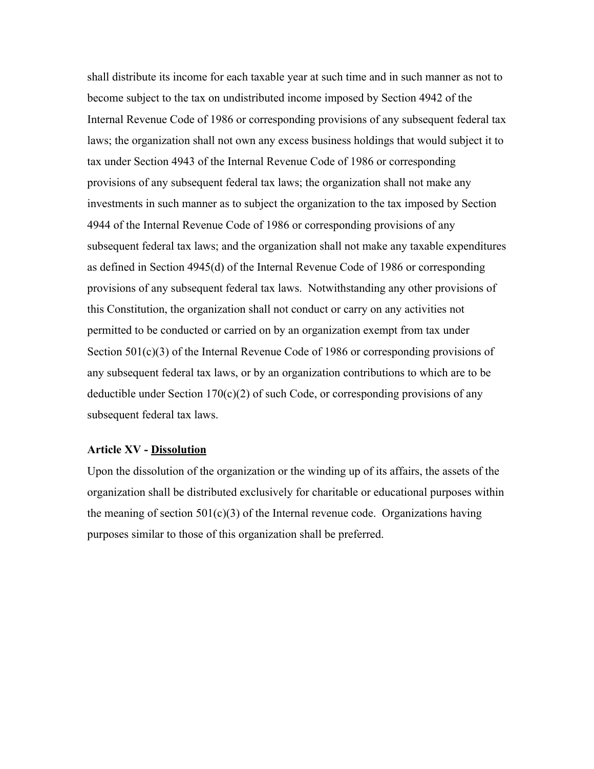shall distribute its income for each taxable year at such time and in such manner as not to become subject to the tax on undistributed income imposed by Section 4942 of the Internal Revenue Code of 1986 or corresponding provisions of any subsequent federal tax laws; the organization shall not own any excess business holdings that would subject it to tax under Section 4943 of the Internal Revenue Code of 1986 or corresponding provisions of any subsequent federal tax laws; the organization shall not make any investments in such manner as to subject the organization to the tax imposed by Section 4944 of the Internal Revenue Code of 1986 or corresponding provisions of any subsequent federal tax laws; and the organization shall not make any taxable expenditures as defined in Section 4945(d) of the Internal Revenue Code of 1986 or corresponding provisions of any subsequent federal tax laws. Notwithstanding any other provisions of this Constitution, the organization shall not conduct or carry on any activities not permitted to be conducted or carried on by an organization exempt from tax under Section 501(c)(3) of the Internal Revenue Code of 1986 or corresponding provisions of any subsequent federal tax laws, or by an organization contributions to which are to be deductible under Section  $170(c)(2)$  of such Code, or corresponding provisions of any subsequent federal tax laws.

#### **Article XV - Dissolution**

Upon the dissolution of the organization or the winding up of its affairs, the assets of the organization shall be distributed exclusively for charitable or educational purposes within the meaning of section  $501(c)(3)$  of the Internal revenue code. Organizations having purposes similar to those of this organization shall be preferred.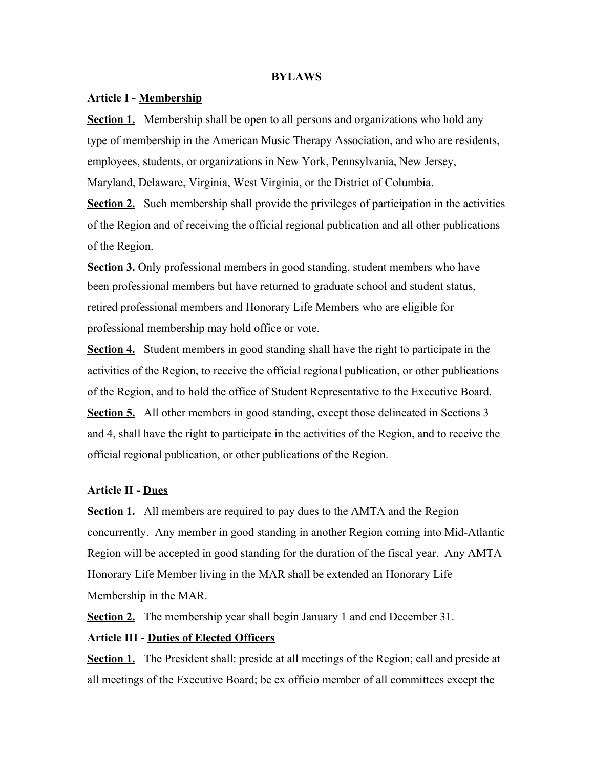#### **BYLAWS**

#### **Article I - Membership**

**Section 1.** Membership shall be open to all persons and organizations who hold any type of membership in the American Music Therapy Association, and who are residents, employees, students, or organizations in New York, Pennsylvania, New Jersey, Maryland, Delaware, Virginia, West Virginia, or the District of Columbia.

**Section 2.** Such membership shall provide the privileges of participation in the activities of the Region and of receiving the official regional publication and all other publications of the Region.

**Section 3.** Only professional members in good standing, student members who have been professional members but have returned to graduate school and student status, retired professional members and Honorary Life Members who are eligible for professional membership may hold office or vote.

**Section 4.** Student members in good standing shall have the right to participate in the activities of the Region, to receive the official regional publication, or other publications of the Region, and to hold the office of Student Representative to the Executive Board. **Section 5.** All other members in good standing, except those delineated in Sections 3 and 4, shall have the right to participate in the activities of the Region, and to receive the official regional publication, or other publications of the Region.

#### **Article II - Dues**

**Section 1.** All members are required to pay dues to the AMTA and the Region concurrently. Any member in good standing in another Region coming into Mid-Atlantic Region will be accepted in good standing for the duration of the fiscal year. Any AMTA Honorary Life Member living in the MAR shall be extended an Honorary Life Membership in the MAR.

**Section 2.** The membership year shall begin January 1 and end December 31.

# **Article III - Duties of Elected Officers**

**Section 1.** The President shall: preside at all meetings of the Region; call and preside at all meetings of the Executive Board; be ex officio member of all committees except the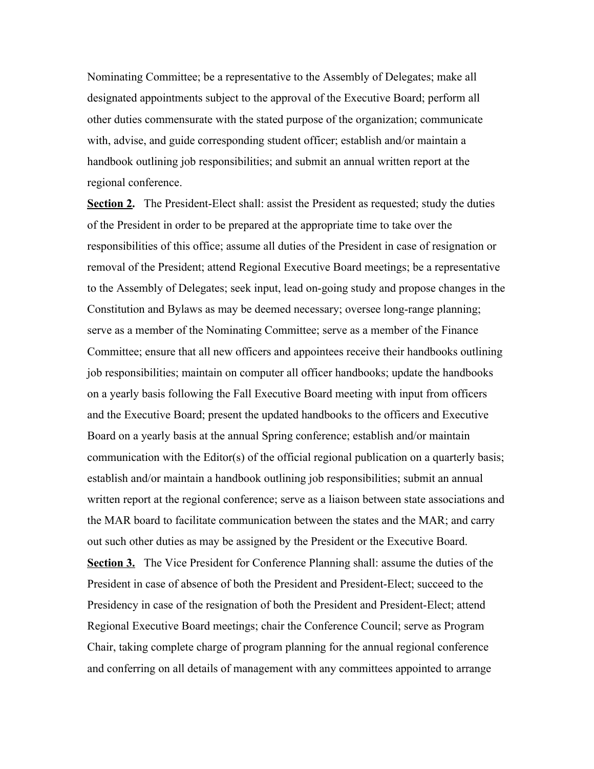Nominating Committee; be a representative to the Assembly of Delegates; make all designated appointments subject to the approval of the Executive Board; perform all other duties commensurate with the stated purpose of the organization; communicate with, advise, and guide corresponding student officer; establish and/or maintain a handbook outlining job responsibilities; and submit an annual written report at the regional conference.

**Section 2.** The President-Elect shall: assist the President as requested; study the duties of the President in order to be prepared at the appropriate time to take over the responsibilities of this office; assume all duties of the President in case of resignation or removal of the President; attend Regional Executive Board meetings; be a representative to the Assembly of Delegates; seek input, lead on-going study and propose changes in the Constitution and Bylaws as may be deemed necessary; oversee long-range planning; serve as a member of the Nominating Committee; serve as a member of the Finance Committee; ensure that all new officers and appointees receive their handbooks outlining job responsibilities; maintain on computer all officer handbooks; update the handbooks on a yearly basis following the Fall Executive Board meeting with input from officers and the Executive Board; present the updated handbooks to the officers and Executive Board on a yearly basis at the annual Spring conference; establish and/or maintain communication with the Editor(s) of the official regional publication on a quarterly basis; establish and/or maintain a handbook outlining job responsibilities; submit an annual written report at the regional conference; serve as a liaison between state associations and the MAR board to facilitate communication between the states and the MAR; and carry out such other duties as may be assigned by the President or the Executive Board. **Section 3.** The Vice President for Conference Planning shall: assume the duties of the President in case of absence of both the President and President-Elect; succeed to the Presidency in case of the resignation of both the President and President-Elect; attend Regional Executive Board meetings; chair the Conference Council; serve as Program Chair, taking complete charge of program planning for the annual regional conference and conferring on all details of management with any committees appointed to arrange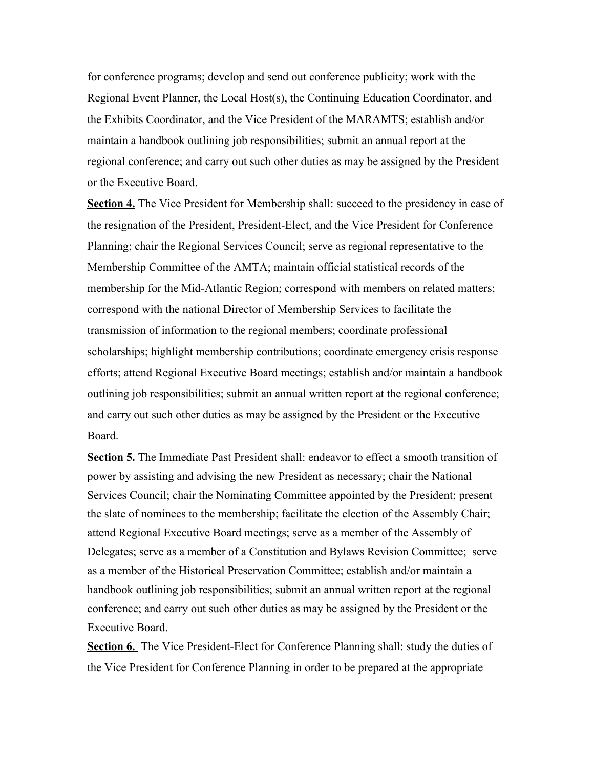for conference programs; develop and send out conference publicity; work with the Regional Event Planner, the Local Host(s), the Continuing Education Coordinator, and the Exhibits Coordinator, and the Vice President of the MARAMTS; establish and/or maintain a handbook outlining job responsibilities; submit an annual report at the regional conference; and carry out such other duties as may be assigned by the President or the Executive Board.

**Section 4.** The Vice President for Membership shall: succeed to the presidency in case of the resignation of the President, President-Elect, and the Vice President for Conference Planning; chair the Regional Services Council; serve as regional representative to the Membership Committee of the AMTA; maintain official statistical records of the membership for the Mid-Atlantic Region; correspond with members on related matters; correspond with the national Director of Membership Services to facilitate the transmission of information to the regional members; coordinate professional scholarships; highlight membership contributions; coordinate emergency crisis response efforts; attend Regional Executive Board meetings; establish and/or maintain a handbook outlining job responsibilities; submit an annual written report at the regional conference; and carry out such other duties as may be assigned by the President or the Executive Board.

**Section 5.** The Immediate Past President shall: endeavor to effect a smooth transition of power by assisting and advising the new President as necessary; chair the National Services Council; chair the Nominating Committee appointed by the President; present the slate of nominees to the membership; facilitate the election of the Assembly Chair; attend Regional Executive Board meetings; serve as a member of the Assembly of Delegates; serve as a member of a Constitution and Bylaws Revision Committee; serve as a member of the Historical Preservation Committee; establish and/or maintain a handbook outlining job responsibilities; submit an annual written report at the regional conference; and carry out such other duties as may be assigned by the President or the Executive Board.

**Section 6.** The Vice President-Elect for Conference Planning shall: study the duties of the Vice President for Conference Planning in order to be prepared at the appropriate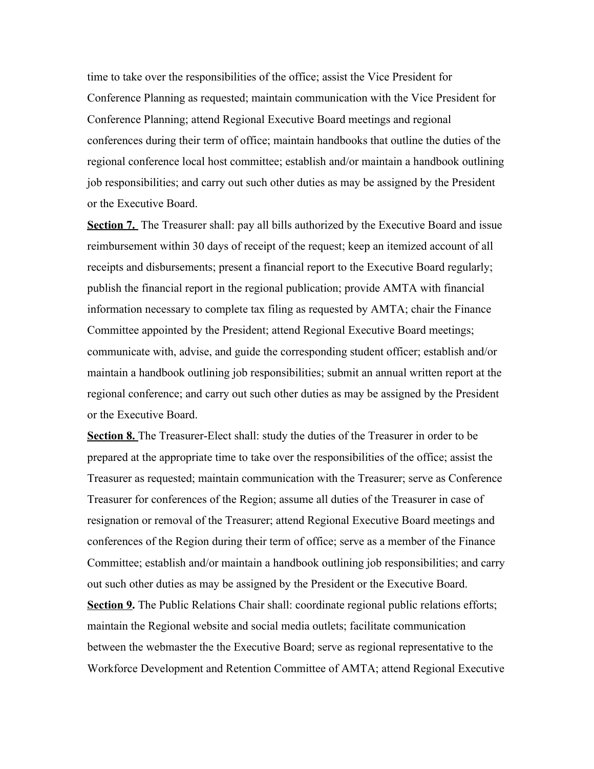time to take over the responsibilities of the office; assist the Vice President for Conference Planning as requested; maintain communication with the Vice President for Conference Planning; attend Regional Executive Board meetings and regional conferences during their term of office; maintain handbooks that outline the duties of the regional conference local host committee; establish and/or maintain a handbook outlining job responsibilities; and carry out such other duties as may be assigned by the President or the Executive Board.

**Section 7.** The Treasurer shall: pay all bills authorized by the Executive Board and issue reimbursement within 30 days of receipt of the request; keep an itemized account of all receipts and disbursements; present a financial report to the Executive Board regularly; publish the financial report in the regional publication; provide AMTA with financial information necessary to complete tax filing as requested by AMTA; chair the Finance Committee appointed by the President; attend Regional Executive Board meetings; communicate with, advise, and guide the corresponding student officer; establish and/or maintain a handbook outlining job responsibilities; submit an annual written report at the regional conference; and carry out such other duties as may be assigned by the President or the Executive Board.

**Section 8.** The Treasurer-Elect shall: study the duties of the Treasurer in order to be prepared at the appropriate time to take over the responsibilities of the office; assist the Treasurer as requested; maintain communication with the Treasurer; serve as Conference Treasurer for conferences of the Region; assume all duties of the Treasurer in case of resignation or removal of the Treasurer; attend Regional Executive Board meetings and conferences of the Region during their term of office; serve as a member of the Finance Committee; establish and/or maintain a handbook outlining job responsibilities; and carry out such other duties as may be assigned by the President or the Executive Board. **Section 9.** The Public Relations Chair shall: coordinate regional public relations efforts; maintain the Regional website and social media outlets; facilitate communication between the webmaster the the Executive Board; serve as regional representative to the Workforce Development and Retention Committee of AMTA; attend Regional Executive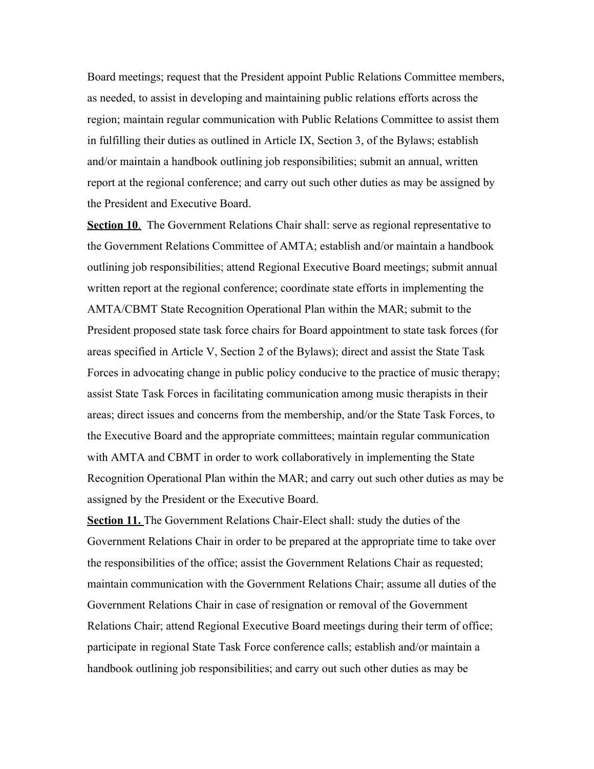Board meetings; request that the President appoint Public Relations Committee members, as needed, to assist in developing and maintaining public relations efforts across the region; maintain regular communication with Public Relations Committee to assist them in fulfilling their duties as outlined in Article IX, Section 3, of the Bylaws; establish and/or maintain a handbook outlining job responsibilities; submit an annual, written report at the regional conference; and carry out such other duties as may be assigned by the President and Executive Board.

**Section 10**. The Government Relations Chair shall: serve as regional representative to the Government Relations Committee of AMTA; establish and/or maintain a handbook outlining job responsibilities; attend Regional Executive Board meetings; submit annual written report at the regional conference; coordinate state efforts in implementing the AMTA/CBMT State Recognition Operational Plan within the MAR; submit to the President proposed state task force chairs for Board appointment to state task forces (for areas specified in Article V, Section 2 of the Bylaws); direct and assist the State Task Forces in advocating change in public policy conducive to the practice of music therapy; assist State Task Forces in facilitating communication among music therapists in their areas; direct issues and concerns from the membership, and/or the State Task Forces, to the Executive Board and the appropriate committees; maintain regular communication with AMTA and CBMT in order to work collaboratively in implementing the State Recognition Operational Plan within the MAR; and carry out such other duties as may be assigned by the President or the Executive Board.

**Section 11.** The Government Relations Chair-Elect shall: study the duties of the Government Relations Chair in order to be prepared at the appropriate time to take over the responsibilities of the office; assist the Government Relations Chair as requested; maintain communication with the Government Relations Chair; assume all duties of the Government Relations Chair in case of resignation or removal of the Government Relations Chair; attend Regional Executive Board meetings during their term of office; participate in regional State Task Force conference calls; establish and/or maintain a handbook outlining job responsibilities; and carry out such other duties as may be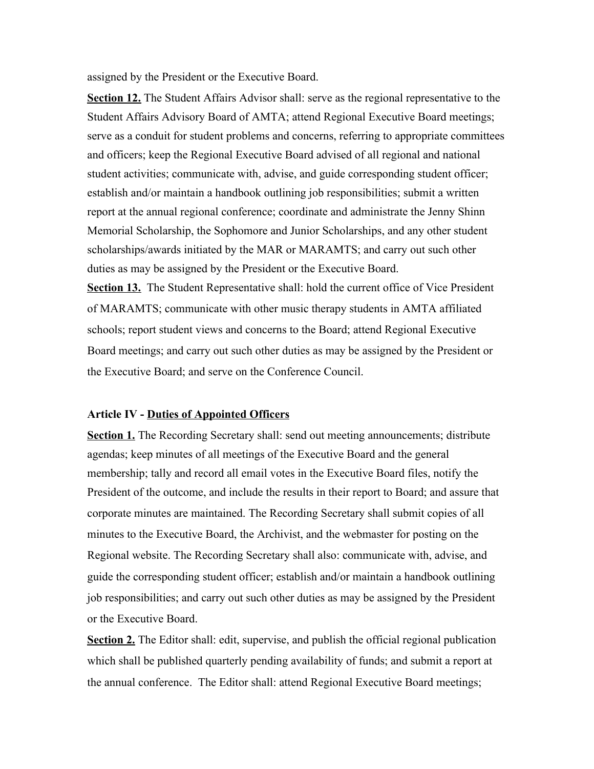assigned by the President or the Executive Board.

**Section 12.** The Student Affairs Advisor shall: serve as the regional representative to the Student Affairs Advisory Board of AMTA; attend Regional Executive Board meetings; serve as a conduit for student problems and concerns, referring to appropriate committees and officers; keep the Regional Executive Board advised of all regional and national student activities; communicate with, advise, and guide corresponding student officer; establish and/or maintain a handbook outlining job responsibilities; submit a written report at the annual regional conference; coordinate and administrate the Jenny Shinn Memorial Scholarship, the Sophomore and Junior Scholarships, and any other student scholarships/awards initiated by the MAR or MARAMTS; and carry out such other duties as may be assigned by the President or the Executive Board.

**Section 13.** The Student Representative shall: hold the current office of Vice President of MARAMTS; communicate with other music therapy students in AMTA affiliated schools; report student views and concerns to the Board; attend Regional Executive Board meetings; and carry out such other duties as may be assigned by the President or the Executive Board; and serve on the Conference Council.

#### **Article IV - Duties of Appointed Officers**

**Section 1.** The Recording Secretary shall: send out meeting announcements; distribute agendas; keep minutes of all meetings of the Executive Board and the general membership; tally and record all email votes in the Executive Board files, notify the President of the outcome, and include the results in their report to Board; and assure that corporate minutes are maintained. The Recording Secretary shall submit copies of all minutes to the Executive Board, the Archivist, and the webmaster for posting on the Regional website. The Recording Secretary shall also: communicate with, advise, and guide the corresponding student officer; establish and/or maintain a handbook outlining job responsibilities; and carry out such other duties as may be assigned by the President or the Executive Board.

**<u>Section 2.</u>** The Editor shall: edit, supervise, and publish the official regional publication which shall be published quarterly pending availability of funds; and submit a report at the annual conference. The Editor shall: attend Regional Executive Board meetings;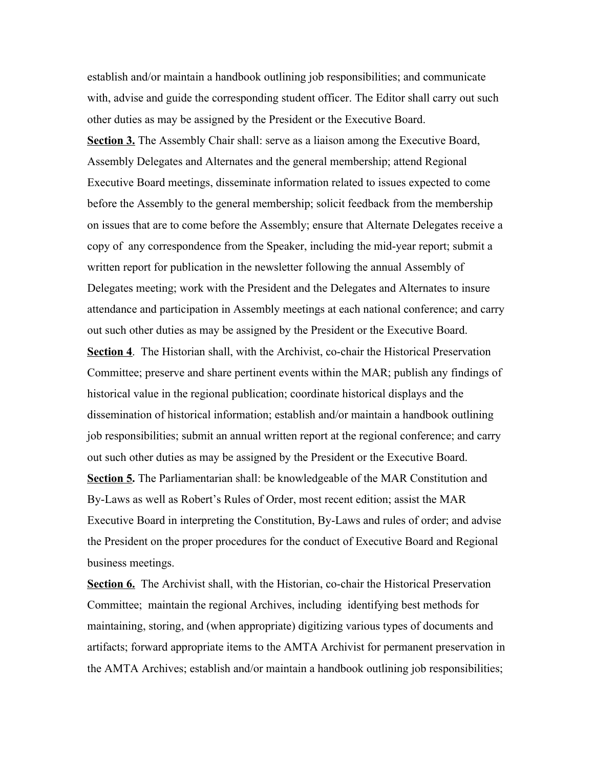establish and/or maintain a handbook outlining job responsibilities; and communicate with, advise and guide the corresponding student officer. The Editor shall carry out such other duties as may be assigned by the President or the Executive Board. **Section 3.** The Assembly Chair shall: serve as a liaison among the Executive Board, Assembly Delegates and Alternates and the general membership; attend Regional Executive Board meetings, disseminate information related to issues expected to come before the Assembly to the general membership; solicit feedback from the membership on issues that are to come before the Assembly; ensure that Alternate Delegates receive a copy of any correspondence from the Speaker, including the mid-year report; submit a written report for publication in the newsletter following the annual Assembly of Delegates meeting; work with the President and the Delegates and Alternates to insure attendance and participation in Assembly meetings at each national conference; and carry out such other duties as may be assigned by the President or the Executive Board. **Section 4.** The Historian shall, with the Archivist, co-chair the Historical Preservation Committee; preserve and share pertinent events within the MAR; publish any findings of historical value in the regional publication; coordinate historical displays and the dissemination of historical information; establish and/or maintain a handbook outlining job responsibilities; submit an annual written report at the regional conference; and carry out such other duties as may be assigned by the President or the Executive Board. **Section 5.** The Parliamentarian shall: be knowledgeable of the MAR Constitution and By-Laws as well as Robert's Rules of Order, most recent edition; assist the MAR Executive Board in interpreting the Constitution, By-Laws and rules of order; and advise the President on the proper procedures for the conduct of Executive Board and Regional

business meetings.

**Section 6.** The Archivist shall, with the Historian, co-chair the Historical Preservation Committee; maintain the regional Archives, including identifying best methods for maintaining, storing, and (when appropriate) digitizing various types of documents and artifacts; forward appropriate items to the AMTA Archivist for permanent preservation in the AMTA Archives; establish and/or maintain a handbook outlining job responsibilities;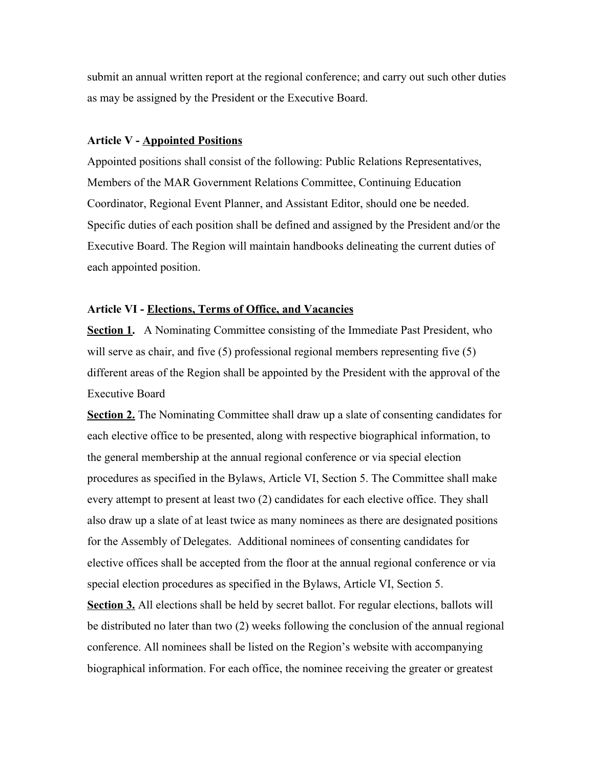submit an annual written report at the regional conference; and carry out such other duties as may be assigned by the President or the Executive Board.

#### **Article V - Appointed Positions**

Appointed positions shall consist of the following: Public Relations Representatives, Members of the MAR Government Relations Committee, Continuing Education Coordinator, Regional Event Planner, and Assistant Editor, should one be needed. Specific duties of each position shall be defined and assigned by the President and/or the Executive Board. The Region will maintain handbooks delineating the current duties of each appointed position.

#### **Article VI - Elections, Terms of Office, and Vacancies**

**<u>Section 1</u>.** A Nominating Committee consisting of the Immediate Past President, who will serve as chair, and five (5) professional regional members representing five (5) different areas of the Region shall be appointed by the President with the approval of the Executive Board

**Section 2.** The Nominating Committee shall draw up a slate of consenting candidates for each elective office to be presented, along with respective biographical information, to the general membership at the annual regional conference or via special election procedures as specified in the Bylaws, Article VI, Section 5. The Committee shall make every attempt to present at least two (2) candidates for each elective office. They shall also draw up a slate of at least twice as many nominees as there are designated positions for the Assembly of Delegates. Additional nominees of consenting candidates for elective offices shall be accepted from the floor at the annual regional conference or via special election procedures as specified in the Bylaws, Article VI, Section 5.

**Section 3.** All elections shall be held by secret ballot. For regular elections, ballots will be distributed no later than two (2) weeks following the conclusion of the annual regional conference. All nominees shall be listed on the Region's website with accompanying biographical information. For each office, the nominee receiving the greater or greatest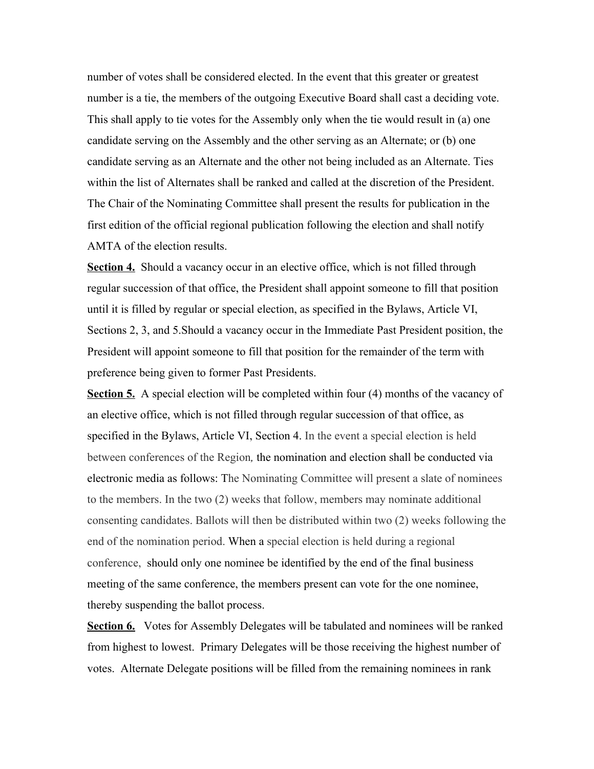number of votes shall be considered elected. In the event that this greater or greatest number is a tie, the members of the outgoing Executive Board shall cast a deciding vote. This shall apply to tie votes for the Assembly only when the tie would result in (a) one candidate serving on the Assembly and the other serving as an Alternate; or (b) one candidate serving as an Alternate and the other not being included as an Alternate. Ties within the list of Alternates shall be ranked and called at the discretion of the President. The Chair of the Nominating Committee shall present the results for publication in the first edition of the official regional publication following the election and shall notify AMTA of the election results.

**Section 4.** Should a vacancy occur in an elective office, which is not filled through regular succession of that office, the President shall appoint someone to fill that position until it is filled by regular or special election, as specified in the Bylaws, Article VI, Sections 2, 3, and 5.Should a vacancy occur in the Immediate Past President position, the President will appoint someone to fill that position for the remainder of the term with preference being given to former Past Presidents.

**Section 5.** A special election will be completed within four (4) months of the vacancy of an elective office, which is not filled through regular succession of that office, as specified in the Bylaws, Article VI, Section 4. In the event a special election is held between conferences of the Region*,* the nomination and election shall be conducted via electronic media as follows: The Nominating Committee will present a slate of nominees to the members. In the two (2) weeks that follow, members may nominate additional consenting candidates. Ballots will then be distributed within two (2) weeks following the end of the nomination period. When a special election is held during a regional conference, should only one nominee be identified by the end of the final business meeting of the same conference, the members present can vote for the one nominee, thereby suspending the ballot process.

**Section 6.** Votes for Assembly Delegates will be tabulated and nominees will be ranked from highest to lowest. Primary Delegates will be those receiving the highest number of votes. Alternate Delegate positions will be filled from the remaining nominees in rank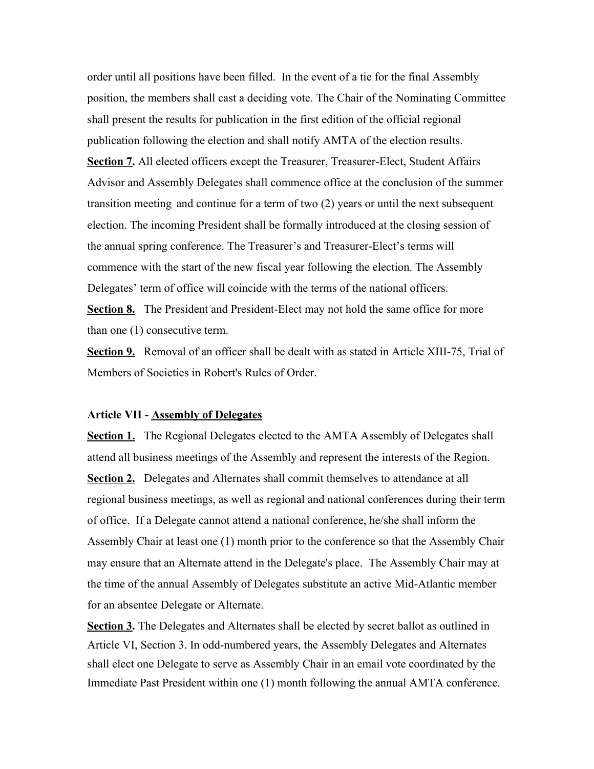order until all positions have been filled. In the event of a tie for the final Assembly position, the members shall cast a deciding vote. The Chair of the Nominating Committee shall present the results for publication in the first edition of the official regional publication following the election and shall notify AMTA of the election results. **Section 7.** All elected officers except the Treasurer, Treasurer-Elect, Student Affairs Advisor and Assembly Delegates shall commence office at the conclusion of the summer transition meeting and continue for a term of two (2) years or until the next subsequent election. The incoming President shall be formally introduced at the closing session of the annual spring conference. The Treasurer's and Treasurer-Elect's terms will commence with the start of the new fiscal year following the election. The Assembly Delegates' term of office will coincide with the terms of the national officers.

**Section 8.** The President and President-Elect may not hold the same office for more than one (1) consecutive term.

**Section 9.** Removal of an officer shall be dealt with as stated in Article XIII-75, Trial of Members of Societies in Robert's Rules of Order.

#### **Article VII - Assembly of Delegates**

**Section 1.** The Regional Delegates elected to the AMTA Assembly of Delegates shall attend all business meetings of the Assembly and represent the interests of the Region. **Section 2.** Delegates and Alternates shall commit themselves to attendance at all regional business meetings, as well as regional and national conferences during their term of office. If a Delegate cannot attend a national conference, he/she shall inform the Assembly Chair at least one (1) month prior to the conference so that the Assembly Chair may ensure that an Alternate attend in the Delegate's place. The Assembly Chair may at the time of the annual Assembly of Delegates substitute an active Mid-Atlantic member for an absentee Delegate or Alternate.

**Section 3.** The Delegates and Alternates shall be elected by secret ballot as outlined in Article VI, Section 3. In odd-numbered years, the Assembly Delegates and Alternates shall elect one Delegate to serve as Assembly Chair in an email vote coordinated by the Immediate Past President within one (1) month following the annual AMTA conference.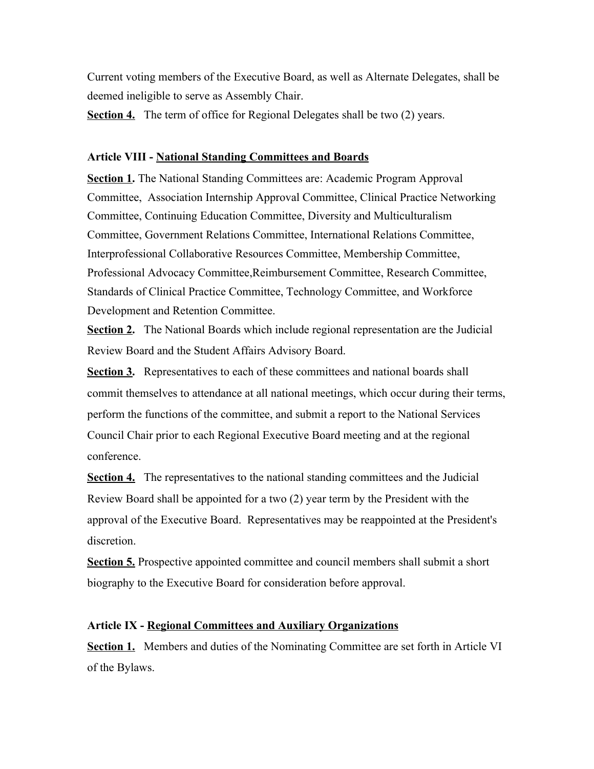Current voting members of the Executive Board, as well as Alternate Delegates, shall be deemed ineligible to serve as Assembly Chair.

**Section 4.** The term of office for Regional Delegates shall be two (2) years.

# **Article VIII - National Standing Committees and Boards**

**Section 1.** The National Standing Committees are: Academic Program Approval Committee, Association Internship Approval Committee, Clinical Practice Networking Committee, Continuing Education Committee, Diversity and Multiculturalism Committee, Government Relations Committee, International Relations Committee, Interprofessional Collaborative Resources Committee, Membership Committee, Professional Advocacy Committee,Reimbursement Committee, Research Committee, Standards of Clinical Practice Committee, Technology Committee, and Workforce Development and Retention Committee.

**Section 2.** The National Boards which include regional representation are the Judicial Review Board and the Student Affairs Advisory Board.

**Section 3.** Representatives to each of these committees and national boards shall commit themselves to attendance at all national meetings, which occur during their terms, perform the functions of the committee, and submit a report to the National Services Council Chair prior to each Regional Executive Board meeting and at the regional conference.

**Section 4.** The representatives to the national standing committees and the Judicial Review Board shall be appointed for a two (2) year term by the President with the approval of the Executive Board. Representatives may be reappointed at the President's discretion.

**Section 5.** Prospective appointed committee and council members shall submit a short biography to the Executive Board for consideration before approval.

# **Article IX - Regional Committees and Auxiliary Organizations**

**Section 1.** Members and duties of the Nominating Committee are set forth in Article VI of the Bylaws.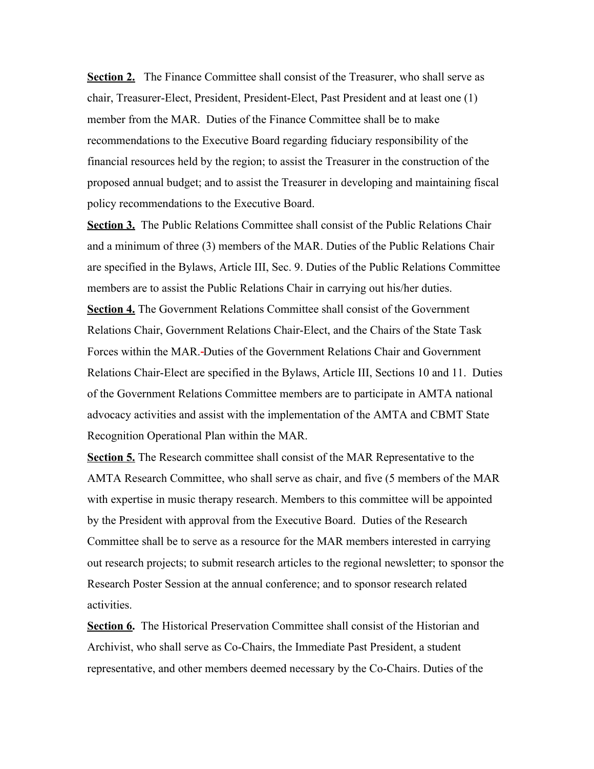**Section 2.** The Finance Committee shall consist of the Treasurer, who shall serve as chair, Treasurer-Elect, President, President-Elect, Past President and at least one (1) member from the MAR. Duties of the Finance Committee shall be to make recommendations to the Executive Board regarding fiduciary responsibility of the financial resources held by the region; to assist the Treasurer in the construction of the proposed annual budget; and to assist the Treasurer in developing and maintaining fiscal policy recommendations to the Executive Board.

**Section 3.** The Public Relations Committee shall consist of the Public Relations Chair and a minimum of three (3) members of the MAR. Duties of the Public Relations Chair are specified in the Bylaws, Article III, Sec. 9. Duties of the Public Relations Committee members are to assist the Public Relations Chair in carrying out his/her duties.

**Section 4.** The Government Relations Committee shall consist of the Government Relations Chair, Government Relations Chair-Elect, and the Chairs of the State Task Forces within the MAR. Duties of the Government Relations Chair and Government Relations Chair-Elect are specified in the Bylaws, Article III, Sections 10 and 11. Duties of the Government Relations Committee members are to participate in AMTA national advocacy activities and assist with the implementation of the AMTA and CBMT State Recognition Operational Plan within the MAR.

**Section 5.** The Research committee shall consist of the MAR Representative to the AMTA Research Committee, who shall serve as chair, and five (5 members of the MAR with expertise in music therapy research. Members to this committee will be appointed by the President with approval from the Executive Board. Duties of the Research Committee shall be to serve as a resource for the MAR members interested in carrying out research projects; to submit research articles to the regional newsletter; to sponsor the Research Poster Session at the annual conference; and to sponsor research related activities.

**Section 6.** The Historical Preservation Committee shall consist of the Historian and Archivist, who shall serve as Co-Chairs, the Immediate Past President, a student representative, and other members deemed necessary by the Co-Chairs. Duties of the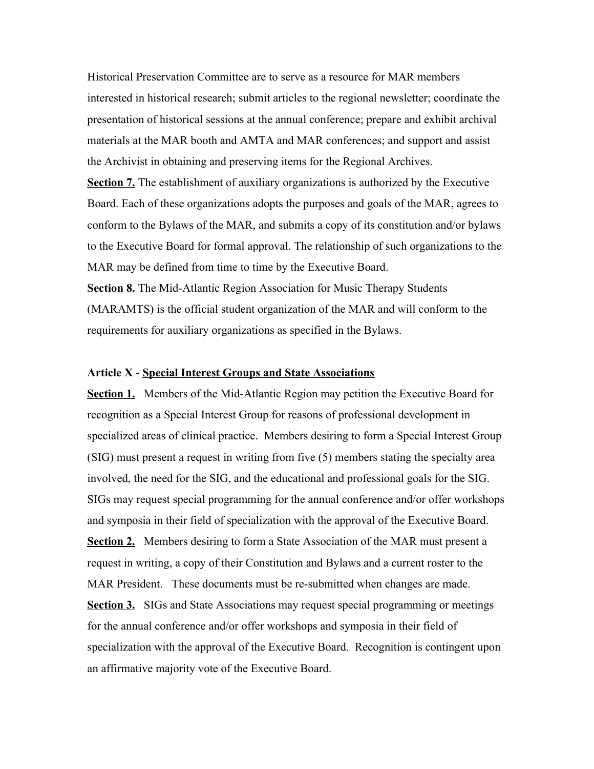Historical Preservation Committee are to serve as a resource for MAR members interested in historical research; submit articles to the regional newsletter; coordinate the presentation of historical sessions at the annual conference; prepare and exhibit archival materials at the MAR booth and AMTA and MAR conferences; and support and assist the Archivist in obtaining and preserving items for the Regional Archives.

**Section 7.** The establishment of auxiliary organizations is authorized by the Executive Board. Each of these organizations adopts the purposes and goals of the MAR, agrees to conform to the Bylaws of the MAR, and submits a copy of its constitution and/or bylaws to the Executive Board for formal approval. The relationship of such organizations to the MAR may be defined from time to time by the Executive Board.

**Section 8.** The Mid-Atlantic Region Association for Music Therapy Students (MARAMTS) is the official student organization of the MAR and will conform to the requirements for auxiliary organizations as specified in the Bylaws.

#### **Article X - Special Interest Groups and State Associations**

**Section 1.** Members of the Mid-Atlantic Region may petition the Executive Board for recognition as a Special Interest Group for reasons of professional development in specialized areas of clinical practice. Members desiring to form a Special Interest Group (SIG) must present a request in writing from five (5) members stating the specialty area involved, the need for the SIG, and the educational and professional goals for the SIG. SIGs may request special programming for the annual conference and/or offer workshops and symposia in their field of specialization with the approval of the Executive Board. **Section 2.** Members desiring to form a State Association of the MAR must present a request in writing, a copy of their Constitution and Bylaws and a current roster to the MAR President. These documents must be re-submitted when changes are made. **Section 3.** SIGs and State Associations may request special programming or meetings for the annual conference and/or offer workshops and symposia in their field of specialization with the approval of the Executive Board. Recognition is contingent upon an affirmative majority vote of the Executive Board.